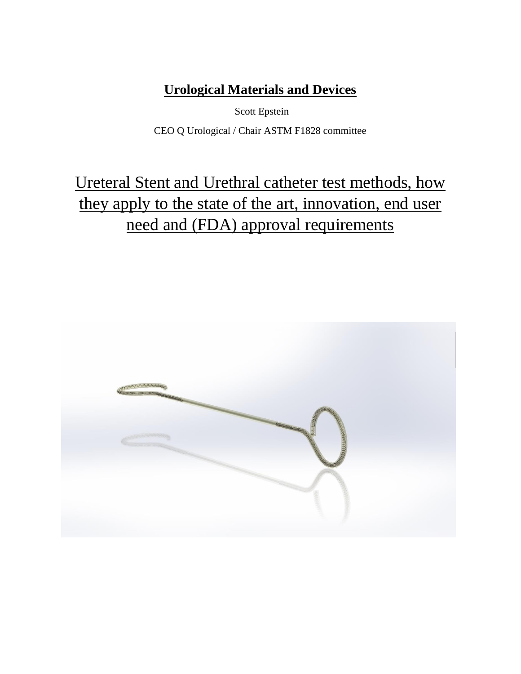# **Urological Materials and Devices**

Scott Epstein CEO Q Urological / Chair ASTM F1828 committee

# Ureteral Stent and Urethral catheter test methods, how they apply to the state of the art, innovation, end user need and (FDA) approval requirements

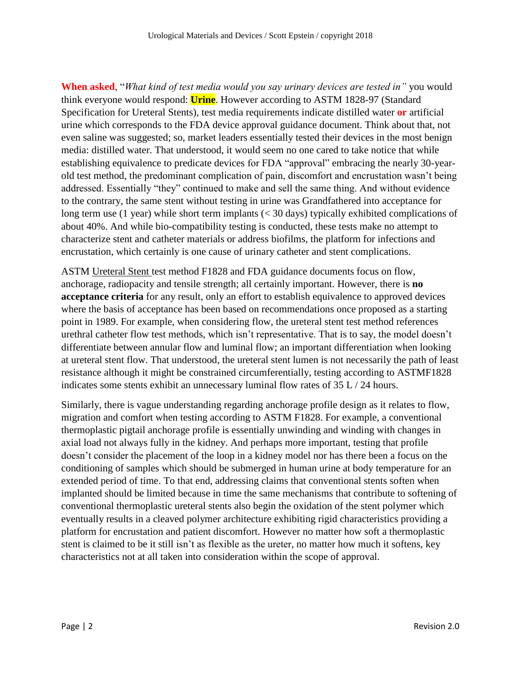**When asked**, "*What kind of test media would you say urinary devices are tested in"* you would think everyone would respond: **Urine**. However according to ASTM 1828-97 (Standard Specification for Ureteral Stents), test media requirements indicate distilled water **or** artificial urine which corresponds to the FDA device approval guidance document. Think about that, not even saline was suggested; so, market leaders essentially tested their devices in the most benign media: distilled water. That understood, it would seem no one cared to take notice that while establishing equivalence to predicate devices for FDA "approval" embracing the nearly 30-yearold test method, the predominant complication of pain, discomfort and encrustation wasn't being addressed. Essentially "they" continued to make and sell the same thing. And without evidence to the contrary, the same stent without testing in urine was Grandfathered into acceptance for long term use (1 year) while short term implants (< 30 days) typically exhibited complications of about 40%. And while bio-compatibility testing is conducted, these tests make no attempt to characterize stent and catheter materials or address biofilms, the platform for infections and encrustation, which certainly is one cause of urinary catheter and stent complications.

ASTM Ureteral Stent test method F1828 and FDA guidance documents focus on flow, anchorage, radiopacity and tensile strength; all certainly important. However, there is **no acceptance criteria** for any result, only an effort to establish equivalence to approved devices where the basis of acceptance has been based on recommendations once proposed as a starting point in 1989. For example, when considering flow, the ureteral stent test method references urethral catheter flow test methods, which isn't representative. That is to say, the model doesn't differentiate between annular flow and luminal flow; an important differentiation when looking at ureteral stent flow. That understood, the ureteral stent lumen is not necessarily the path of least resistance although it might be constrained circumferentially, testing according to ASTMF1828 indicates some stents exhibit an unnecessary luminal flow rates of 35 L / 24 hours.

Similarly, there is vague understanding regarding anchorage profile design as it relates to flow, migration and comfort when testing according to ASTM F1828. For example, a conventional thermoplastic pigtail anchorage profile is essentially unwinding and winding with changes in axial load not always fully in the kidney. And perhaps more important, testing that profile doesn't consider the placement of the loop in a kidney model nor has there been a focus on the conditioning of samples which should be submerged in human urine at body temperature for an extended period of time. To that end, addressing claims that conventional stents soften when implanted should be limited because in time the same mechanisms that contribute to softening of conventional thermoplastic ureteral stents also begin the oxidation of the stent polymer which eventually results in a cleaved polymer architecture exhibiting rigid characteristics providing a platform for encrustation and patient discomfort. However no matter how soft a thermoplastic stent is claimed to be it still isn't as flexible as the ureter, no matter how much it softens, key characteristics not at all taken into consideration within the scope of approval.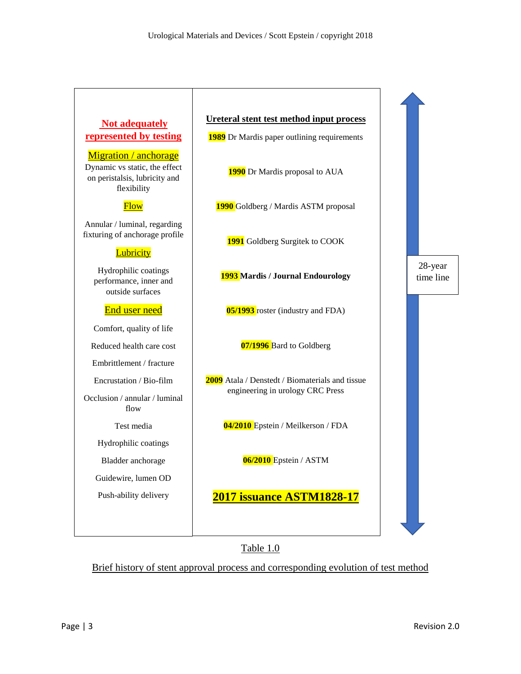## **Not adequately represented by testing**

Migration / anchorage Dynamic vs static, the effect on peristalsis, lubricity and flexibility

### **Flow**

Annular / luminal, regarding fixturing of anchorage profile

### **Lubricity**

Hydrophilic coatings performance, inner and outside surfaces

#### End user need

Comfort, quality of life

Reduced health care cost

Embrittlement / fracture

Encrustation / Bio-film

Occlusion / annular / luminal flow

#### Test media

Hydrophilic coatings

Bladder anchorage

Guidewire, lumen OD

Push-ability delivery

# **Ureteral stent test method input process 1989** Dr Mardis paper outlining requirements

**1990** Dr Mardis proposal to AUA

**1990** Goldberg / Mardis ASTM proposal

**1991** Goldberg Surgitek to COOK

**1993 Mardis / Journal Endourology**

**05/1993** roster (industry and FDA)

**07/1996** Bard to Goldberg

**2009** Atala / Denstedt / Biomaterials and tissue engineering in urology CRC Press

**04/2010** Epstein / Meilkerson / FDA

**06/2010** Epstein / ASTM

### **2017 issuance ASTM1828-17**

Table 1.0

Brief history of stent approval process and corresponding evolution of test method

28-year time line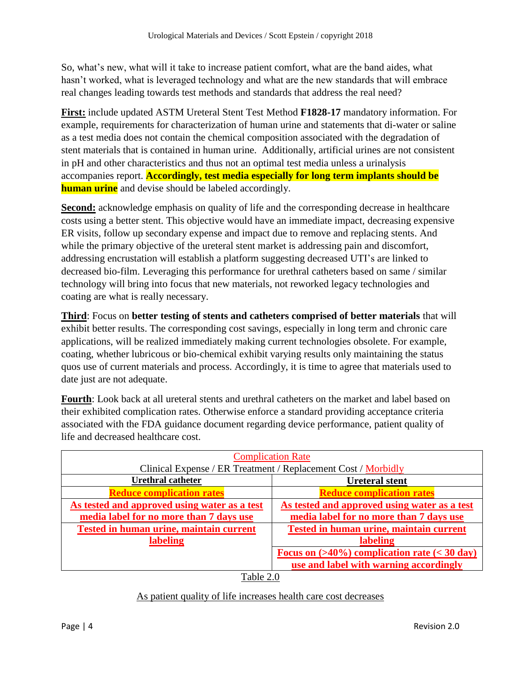So, what's new, what will it take to increase patient comfort, what are the band aides, what hasn't worked, what is leveraged technology and what are the new standards that will embrace real changes leading towards test methods and standards that address the real need?

**First:** include updated ASTM Ureteral Stent Test Method **F1828-17** mandatory information. For example, requirements for characterization of human urine and statements that di-water or saline as a test media does not contain the chemical composition associated with the degradation of stent materials that is contained in human urine. Additionally, artificial urines are not consistent in pH and other characteristics and thus not an optimal test media unless a urinalysis accompanies report. **Accordingly, test media especially for long term implants should be human urine** and devise should be labeled accordingly.

**Second:** acknowledge emphasis on quality of life and the corresponding decrease in healthcare costs using a better stent. This objective would have an immediate impact, decreasing expensive ER visits, follow up secondary expense and impact due to remove and replacing stents. And while the primary objective of the ureteral stent market is addressing pain and discomfort, addressing encrustation will establish a platform suggesting decreased UTI's are linked to decreased bio-film. Leveraging this performance for urethral catheters based on same / similar technology will bring into focus that new materials, not reworked legacy technologies and coating are what is really necessary.

**Third**: Focus on **better testing of stents and catheters comprised of better materials** that will exhibit better results. The corresponding cost savings, especially in long term and chronic care applications, will be realized immediately making current technologies obsolete. For example, coating, whether lubricous or bio-chemical exhibit varying results only maintaining the status quos use of current materials and process. Accordingly, it is time to agree that materials used to date just are not adequate.

**Fourth**: Look back at all ureteral stents and urethral catheters on the market and label based on their exhibited complication rates. Otherwise enforce a standard providing acceptance criteria associated with the FDA guidance document regarding device performance, patient quality of life and decreased healthcare cost.

| <b>Complication Rate</b>                                      |                                                           |
|---------------------------------------------------------------|-----------------------------------------------------------|
| Clinical Expense / ER Treatment / Replacement Cost / Morbidly |                                                           |
| <b>Urethral catheter</b>                                      | <b>Ureteral stent</b>                                     |
| <b>Reduce complication rates</b>                              | <b>Reduce complication rates</b>                          |
| As tested and approved using water as a test                  | As tested and approved using water as a test              |
| media label for no more than 7 days use                       | media label for no more than 7 days use                   |
| Tested in human urine, maintain current                       | Tested in human urine, maintain current                   |
| labeling                                                      | labeling                                                  |
|                                                               | Focus on $(>40\%)$ complication rate $(< 30 \text{ day})$ |
|                                                               | use and label with warning accordingly                    |

### As patient quality of life increases health care cost decreases